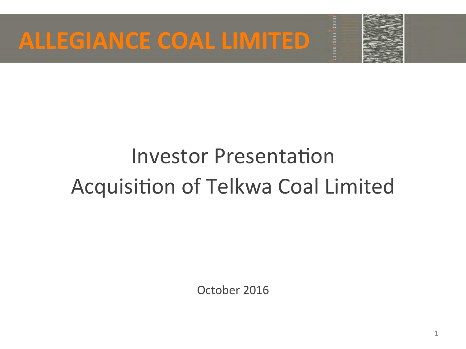



# **Investor Presentation** Acquisition of Telkwa Coal Limited

October 2016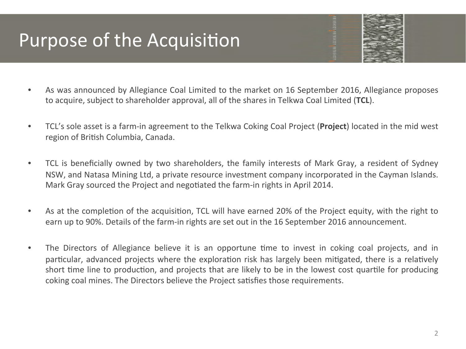### Purpose of the Acquisition

- As was announced by Allegiance Coal Limited to the market on 16 September 2016, Allegiance proposes to acquire, subject to shareholder approval, all of the shares in Telkwa Coal Limited (TCL).
- TCL's sole asset is a farm-in agreement to the Telkwa Coking Coal Project (**Project**) located in the mid west region of British Columbia, Canada.
- TCL is beneficially owned by two shareholders, the family interests of Mark Gray, a resident of Sydney NSW, and Natasa Mining Ltd, a private resource investment company incorporated in the Cayman Islands. Mark Gray sourced the Project and negotiated the farm-in rights in April 2014.
- As at the completion of the acquisition, TCL will have earned 20% of the Project equity, with the right to earn up to 90%. Details of the farm-in rights are set out in the 16 September 2016 announcement.
- The Directors of Allegiance believe it is an opportune time to invest in coking coal projects, and in particular, advanced projects where the exploration risk has largely been mitigated, there is a relatively short time line to production, and projects that are likely to be in the lowest cost quartile for producing coking coal mines. The Directors believe the Project satisfies those requirements.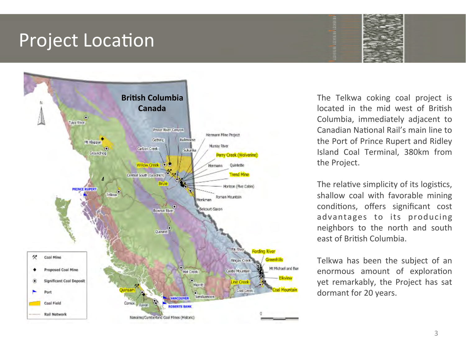#### **Project Location**



The Telkwa coking coal project is located in the mid west of British Columbia, immediately adjacent to Canadian National Rail's main line to the Port of Prince Rupert and Ridley Island Coal Terminal, 380km from the Project.

The relative simplicity of its logistics, shallow coal with favorable mining conditions, offers significant cost advantages to its producing neighbors to the north and south east of British Columbia.

Telkwa has been the subject of an enormous amount of exploration yet remarkably, the Project has sat dormant for 20 years.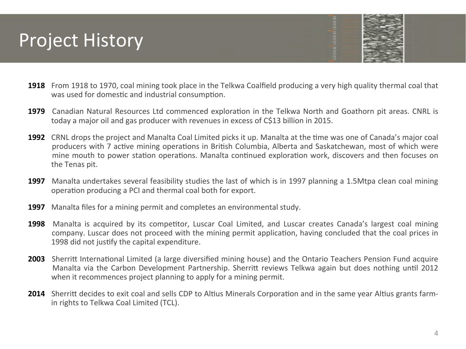### **Project History**

- **1918** From 1918 to 1970, coal mining took place in the Telkwa Coalfield producing a very high quality thermal coal that was used for domestic and industrial consumption.
- **1979** Canadian Natural Resources Ltd commenced exploration in the Telkwa North and Goathorn pit areas. CNRL is today a major oil and gas producer with revenues in excess of C\$13 billion in 2015.
- **1992** CRNL drops the project and Manalta Coal Limited picks it up. Manalta at the time was one of Canada's major coal producers with 7 active mining operations in British Columbia, Alberta and Saskatchewan, most of which were mine mouth to power station operations. Manalta continued exploration work, discovers and then focuses on the Tenas pit.
- **1997** Manalta undertakes several feasibility studies the last of which is in 1997 planning a 1.5Mtpa clean coal mining operation producing a PCI and thermal coal both for export.
- **1997** Manalta files for a mining permit and completes an environmental study.
- **1998** Manalta is acquired by its competitor, Luscar Coal Limited, and Luscar creates Canada's largest coal mining company. Luscar does not proceed with the mining permit application, having concluded that the coal prices in 1998 did not justify the capital expenditure.
- **2003** Sherritt International Limited (a large diversified mining house) and the Ontario Teachers Pension Fund acquire Manalta via the Carbon Development Partnership. Sherritt reviews Telkwa again but does nothing until 2012 when it recommences project planning to apply for a mining permit.
- **2014** Sherritt decides to exit coal and sells CDP to Altius Minerals Corporation and in the same year Altius grants farmin rights to Telkwa Coal Limited (TCL).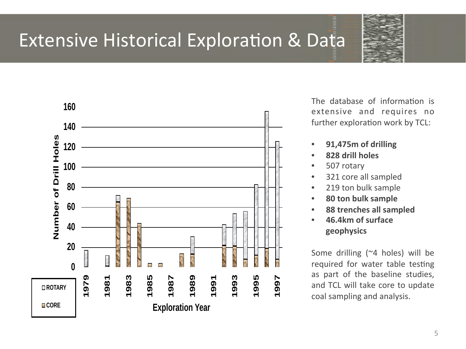

### Extensive Historical Exploration & Data



The database of information is extensive and requires no further exploration work by TCL:

- **91,475m of drilling**
- **828 drill holes**
- 507 rotary
- 321 core all sampled
- 219 ton bulk sample
- **80 ton bulk sample**
- **88 trenches all sampled**
- **46.4km of surface geophysics**

Some drilling  $(24 \text{ holes})$  will be required for water table testing as part of the baseline studies, and TCL will take core to update coal sampling and analysis.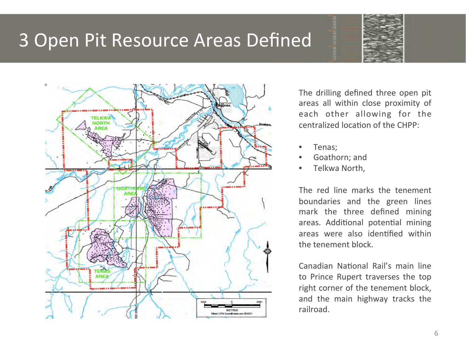#### 3 Open Pit Resource Areas Defined



The drilling defined three open pit areas all within close proximity of each other allowing for the centralized location of the CHPP:

- Tenas;
- Goathorn; and
- Telkwa North,

The red line marks the tenement boundaries and the green lines mark the three defined mining areas. Additional potential mining areas were also identified within the tenement block.

Canadian National Rail's main line to Prince Rupert traverses the top right corner of the tenement block, and the main highway tracks the railroad.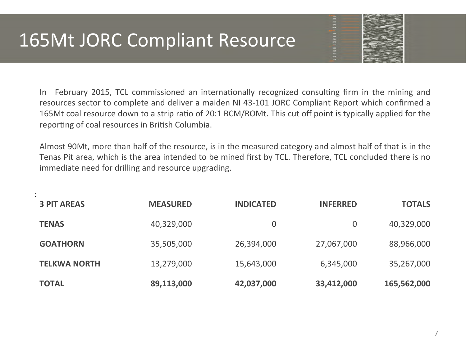### 165Mt JORC Compliant Resource



In February 2015, TCL commissioned an internationally recognized consulting firm in the mining and resources sector to complete and deliver a maiden NI 43-101 JORC Compliant Report which confirmed a 165Mt coal resource down to a strip ratio of 20:1 BCM/ROMt. This cut off point is typically applied for the reporting of coal resources in British Columbia.

Almost 90Mt, more than half of the resource, is in the measured category and almost half of that is in the Tenas Pit area, which is the area intended to be mined first by TCL. Therefore, TCL concluded there is no immediate need for drilling and resource upgrading.

| <b>TOTAL</b>        | 89,113,000      | 42,037,000       | 33,412,000      | 165,562,000   |
|---------------------|-----------------|------------------|-----------------|---------------|
| <b>TELKWA NORTH</b> | 13,279,000      | 15,643,000       | 6,345,000       | 35,267,000    |
| <b>GOATHORN</b>     | 35,505,000      | 26,394,000       | 27,067,000      | 88,966,000    |
| <b>TENAS</b>        | 40,329,000      | 0                | $\overline{0}$  | 40,329,000    |
| <b>3 PIT AREAS</b>  | <b>MEASURED</b> | <b>INDICATED</b> | <b>INFERRED</b> | <b>TOTALS</b> |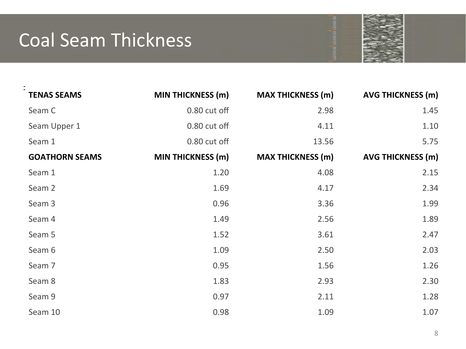## Coal Seam Thickness



| <b>TENAS SEAMS</b>    | <b>MIN THICKNESS (m)</b> | <b>MAX THICKNESS (m)</b> | <b>AVG THICKNESS (m)</b> |
|-----------------------|--------------------------|--------------------------|--------------------------|
| Seam C                | 0.80 cut off             | 2.98                     | 1.45                     |
| Seam Upper 1          | 0.80 cut off             | 4.11                     | 1.10                     |
| Seam 1                | 0.80 cut off             | 13.56                    | 5.75                     |
| <b>GOATHORN SEAMS</b> | <b>MIN THICKNESS (m)</b> | <b>MAX THICKNESS (m)</b> | <b>AVG THICKNESS (m)</b> |
| Seam 1                | 1.20                     | 4.08                     | 2.15                     |
| Seam 2                | 1.69                     | 4.17                     | 2.34                     |
| Seam 3                | 0.96                     | 3.36                     | 1.99                     |
| Seam 4                | 1.49                     | 2.56                     | 1.89                     |
| Seam 5                | 1.52                     | 3.61                     | 2.47                     |
| Seam 6                | 1.09                     | 2.50                     | 2.03                     |
| Seam 7                | 0.95                     | 1.56                     | 1.26                     |
| Seam 8                | 1.83                     | 2.93                     | 2.30                     |
| Seam 9                | 0.97                     | 2.11                     | 1.28                     |
| Seam 10               | 0.98                     | 1.09                     | 1.07                     |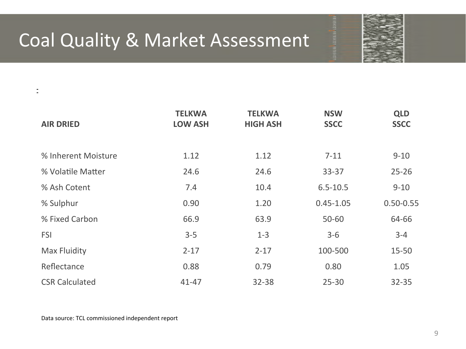# Coal Quality & Market Assessment



| <b>AIR DRIED</b>      | <b>TELKWA</b><br><b>LOW ASH</b> | <b>TELKWA</b><br><b>HIGH ASH</b> | <b>NSW</b><br><b>SSCC</b> | <b>QLD</b><br><b>SSCC</b> |
|-----------------------|---------------------------------|----------------------------------|---------------------------|---------------------------|
|                       |                                 |                                  |                           |                           |
| % Inherent Moisture   | 1.12                            | 1.12                             | $7 - 11$                  | $9 - 10$                  |
| % Volatile Matter     | 24.6                            | 24.6                             | $33 - 37$                 | $25 - 26$                 |
| % Ash Cotent          | 7.4                             | 10.4                             | $6.5 - 10.5$              | $9 - 10$                  |
| % Sulphur             | 0.90                            | 1.20                             | $0.45 - 1.05$             | $0.50 - 0.55$             |
| % Fixed Carbon        | 66.9                            | 63.9                             | 50-60                     | 64-66                     |
| <b>FSI</b>            | $3 - 5$                         | $1 - 3$                          | $3 - 6$                   | $3 - 4$                   |
| <b>Max Fluidity</b>   | $2 - 17$                        | $2 - 17$                         | 100-500                   | 15-50                     |
| Reflectance           | 0.88                            | 0.79                             | 0.80                      | 1.05                      |
| <b>CSR Calculated</b> | $41 - 47$                       | $32 - 38$                        | $25 - 30$                 | $32 - 35$                 |

Data source: TCL commissioned independent report

 $\bar{z}$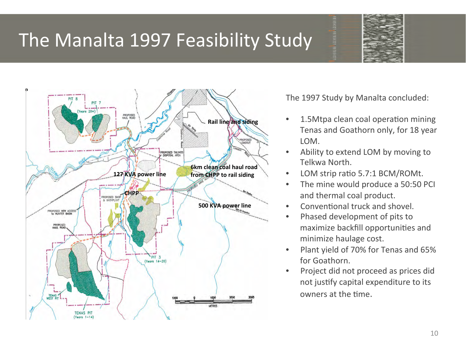### The Manalta 1997 Feasibility Study





The 1997 Study by Manalta concluded:

- 1.5Mtpa clean coal operation mining Tenas and Goathorn only, for 18 year LOM.
- Ability to extend LOM by moving to Telkwa North.
- LOM strip ratio 5.7:1 BCM/ROMt.
- The mine would produce a 50:50 PCI and thermal coal product.
- Conventional truck and shovel.
- Phased development of pits to maximize backfill opportunities and minimize haulage cost.
- Plant yield of 70% for Tenas and 65% for Goathorn.
- Project did not proceed as prices did not justify capital expenditure to its owners at the time.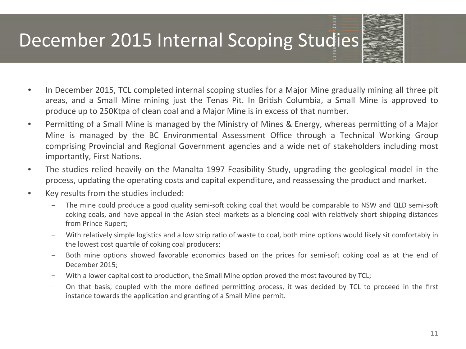## December 2015 Internal Scoping Studies



- In December 2015, TCL completed internal scoping studies for a Major Mine gradually mining all three pit areas, and a Small Mine mining just the Tenas Pit. In British Columbia, a Small Mine is approved to produce up to 250Ktpa of clean coal and a Major Mine is in excess of that number.
- Permitting of a Small Mine is managed by the Ministry of Mines & Energy, whereas permitting of a Major Mine is managed by the BC Environmental Assessment Office through a Technical Working Group comprising Provincial and Regional Government agencies and a wide net of stakeholders including most importantly, First Nations.
- The studies relied heavily on the Manalta 1997 Feasibility Study, upgrading the geological model in the process, updating the operating costs and capital expenditure, and reassessing the product and market.
- Key results from the studies included:
	- − The mine could produce a good quality semi-soft coking coal that would be comparable to NSW and QLD semi-soft coking coals, and have appeal in the Asian steel markets as a blending coal with relatively short shipping distances from Prince Rupert;
	- − With relatively simple logistics and a low strip ratio of waste to coal, both mine options would likely sit comfortably in the lowest cost quartile of coking coal producers;
	- − Both mine options showed favorable economics based on the prices for semi-soft coking coal as at the end of December 2015;
	- − With a lower capital cost to production, the Small Mine option proved the most favoured by TCL;
	- − On that basis, coupled with the more defined permitting process, it was decided by TCL to proceed in the first instance towards the application and granting of a Small Mine permit.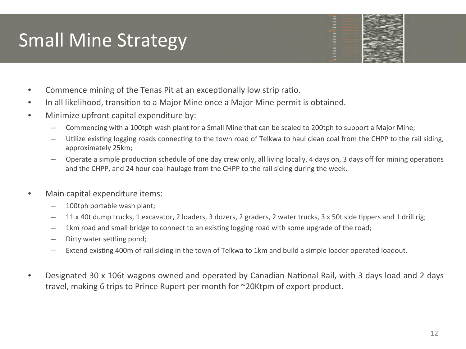# **Small Mine Strategy**



- In all likelihood, transition to a Major Mine once a Major Mine permit is obtained.
- Minimize upfront capital expenditure by:
	- Commencing with a 100tph wash plant for a Small Mine that can be scaled to 200tph to support a Major Mine;
	- $-$  Utilize existing logging roads connecting to the town road of Telkwa to haul clean coal from the CHPP to the rail siding, approximately 25km;
	- $-$  Operate a simple production schedule of one day crew only, all living locally, 4 days on, 3 days off for mining operations and the CHPP, and 24 hour coal haulage from the CHPP to the rail siding during the week.
- Main capital expenditure items:
	- $-$  100tph portable wash plant;
	- $-$  11 x 40t dump trucks, 1 excavator, 2 loaders, 3 dozers, 2 graders, 2 water trucks, 3 x 50t side tippers and 1 drill rig;
	- 1km road and small bridge to connect to an existing logging road with some upgrade of the road;
	- $-$  Dirty water settling pond;
	- $-$  Extend existing 400m of rail siding in the town of Telkwa to 1km and build a simple loader operated loadout.
- Designated 30 x 106t wagons owned and operated by Canadian National Rail, with 3 days load and 2 days travel, making 6 trips to Prince Rupert per month for  $\sim$ 20Ktpm of export product.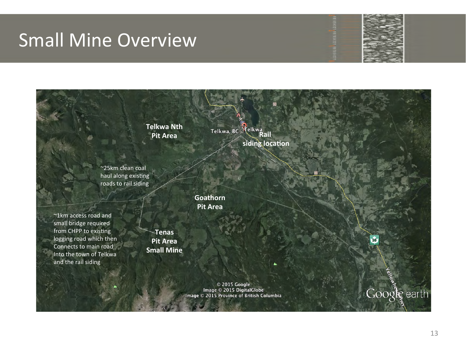#### **Small Mine Overview**



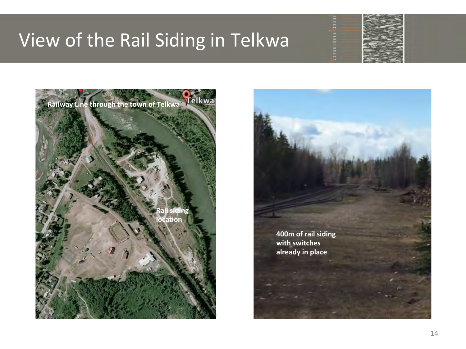#### View of the Rail Siding in Telkwa





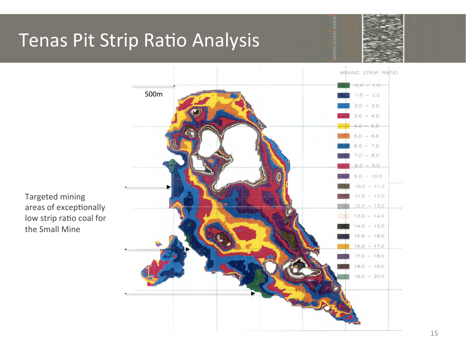# Tenas Pit Strip Ratio Analysis





Targeted mining areas of exceptionally low strip ratio coal for the Small Mine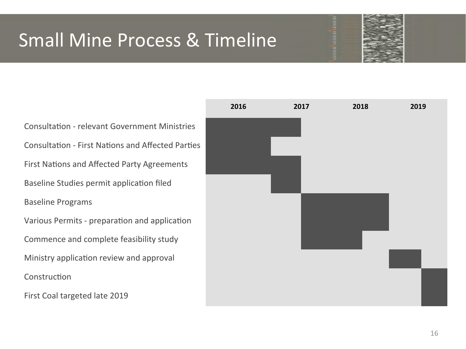# Small Mine Process & Timeline



Consultation - relevant Government Ministries Consultation - First Nations and Affected Parties First Nations and Affected Party Agreements Baseline Studies permit application filed Baseline Programs Various Permits - preparation and application Commence and complete feasibility study Ministry application review and approval Construction First Coal targeted late 2019

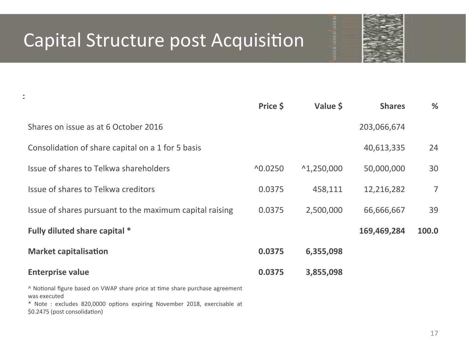### Capital Structure post Acquisition



|                                                                              | Price \$            | Value \$             | <b>Shares</b> | %              |
|------------------------------------------------------------------------------|---------------------|----------------------|---------------|----------------|
| Shares on issue as at 6 October 2016                                         |                     |                      | 203,066,674   |                |
| Consolidation of share capital on a 1 for 5 basis                            |                     |                      | 40,613,335    | 24             |
| Issue of shares to Telkwa shareholders                                       | $^{\text{A}}0.0250$ | $^{\wedge}1,250,000$ | 50,000,000    | 30             |
| Issue of shares to Telkwa creditors                                          | 0.0375              | 458,111              | 12,216,282    | $\overline{7}$ |
| Issue of shares pursuant to the maximum capital raising                      | 0.0375              | 2,500,000            | 66,666,667    | 39             |
| Fully diluted share capital *                                                |                     |                      | 169,469,284   | 100.0          |
| <b>Market capitalisation</b>                                                 | 0.0375              | 6,355,098            |               |                |
| <b>Enterprise value</b>                                                      | 0.0375              | 3,855,098            |               |                |
| ^ Notional figure based on VWAP share price at time share purchase agreement |                     |                      |               |                |

was executed \* Note : excludes 820,0000 options expiring November 2018, exercisable at

\$0.2475 (post consolidation)

 $\bar{z}$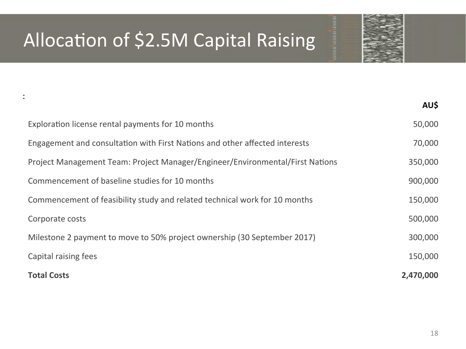# Allocation of \$2.5M Capital Raising

 $\overline{\phantom{a}}$ 



|                                                                               | AU\$      |
|-------------------------------------------------------------------------------|-----------|
| Exploration license rental payments for 10 months                             | 50,000    |
| Engagement and consultation with First Nations and other affected interests   | 70,000    |
| Project Management Team: Project Manager/Engineer/Environmental/First Nations | 350,000   |
| Commencement of baseline studies for 10 months                                | 900,000   |
| Commencement of feasibility study and related technical work for 10 months    | 150,000   |
| Corporate costs                                                               | 500,000   |
| Milestone 2 payment to move to 50% project ownership (30 September 2017)      | 300,000   |
| Capital raising fees                                                          | 150,000   |
| <b>Total Costs</b>                                                            | 2,470,000 |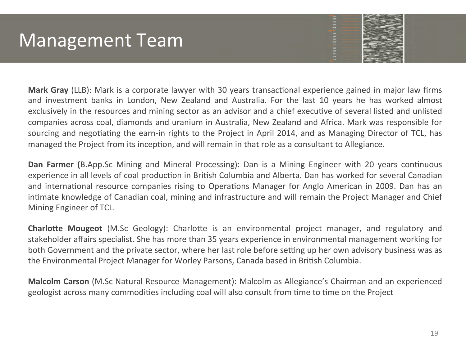### Management Team

**Mark Gray** (LLB): Mark is a corporate lawyer with 30 years transactional experience gained in major law firms and investment banks in London, New Zealand and Australia. For the last 10 years he has worked almost exclusively in the resources and mining sector as an advisor and a chief executive of several listed and unlisted companies across coal, diamonds and uranium in Australia, New Zealand and Africa. Mark was responsible for sourcing and negotiating the earn-in rights to the Project in April 2014, and as Managing Director of TCL, has managed the Project from its inception, and will remain in that role as a consultant to Allegiance.

**Dan Farmer (**B.App.Sc Mining and Mineral Processing): Dan is a Mining Engineer with 20 years continuous experience in all levels of coal production in British Columbia and Alberta. Dan has worked for several Canadian and international resource companies rising to Operations Manager for Anglo American in 2009. Dan has an intimate knowledge of Canadian coal, mining and infrastructure and will remain the Project Manager and Chief Mining Engineer of TCL.

**Charlotte Mougeot** (M.Sc Geology): Charlotte is an environmental project manager, and regulatory and stakeholder affairs specialist. She has more than 35 years experience in environmental management working for both Government and the private sector, where her last role before setting up her own advisory business was as the Environmental Project Manager for Worley Parsons, Canada based in British Columbia.

**Malcolm Carson** (M.Sc Natural Resource Management): Malcolm as Allegiance's Chairman and an experienced geologist across many commodities including coal will also consult from time to time on the Project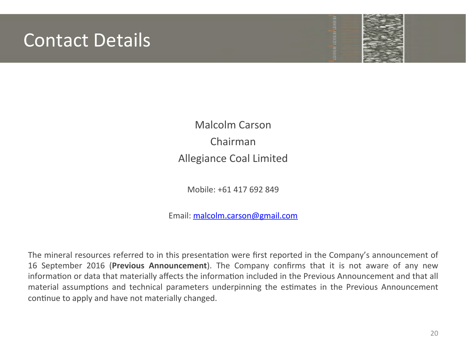#### **Contact Details**



Malcolm Carson Chairman Allegiance Coal Limited

Mobile: +61 417 692 849

Email: malcolm.carson@gmail.com

The mineral resources referred to in this presentation were first reported in the Company's announcement of 16 September 2016 (Previous Announcement). The Company confirms that it is not aware of any new information or data that materially affects the information included in the Previous Announcement and that all material assumptions and technical parameters underpinning the estimates in the Previous Announcement continue to apply and have not materially changed.